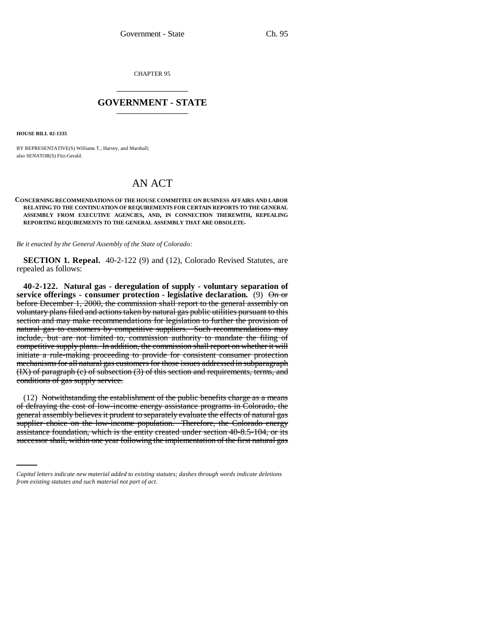CHAPTER 95 \_\_\_\_\_\_\_\_\_\_\_\_\_\_\_

## **GOVERNMENT - STATE** \_\_\_\_\_\_\_\_\_\_\_\_\_\_\_

**HOUSE BILL 02-1335**

BY REPRESENTATIVE(S) Williams T., Harvey, and Marshall; also SENATOR(S) Fitz-Gerald.

## AN ACT

## **CONCERNING RECOMMENDATIONS OF THE HOUSE COMMITTEE ON BUSINESS AFFAIRS AND LABOR RELATING TO THE CONTINUATION OF REQUIREMENTS FOR CERTAIN REPORTS TO THE GENERAL ASSEMBLY FROM EXECUTIVE AGENCIES, AND, IN CONNECTION THEREWITH, REPEALING REPORTING REQUIREMENTS TO THE GENERAL ASSEMBLY THAT ARE OBSOLETE.**

*Be it enacted by the General Assembly of the State of Colorado:*

**SECTION 1. Repeal.** 40-2-122 (9) and (12), Colorado Revised Statutes, are repealed as follows:

**40-2-122. Natural gas - deregulation of supply - voluntary separation of service offerings - consumer protection - legislative declaration.** (9)  $\Theta$  or before December 1, 2000, the commission shall report to the general assembly on voluntary plans filed and actions taken by natural gas public utilities pursuant to this section and may make recommendations for legislation to further the provision of natural gas to customers by competitive suppliers. Such recommendations may include, but are not limited to, commission authority to mandate the filing of competitive supply plans. In addition, the commission shall report on whether it will initiate a rule-making proceeding to provide for consistent consumer protection mechanisms for all natural gas customers for those issues addressed in subparagraph (IX) of paragraph (c) of subsection (3) of this section and requirements, terms, and conditions of gas supply service.

supplier choice on the low-income population. Therefore, the Colorado energy (12) Notwithstanding the establishment of the public benefits charge as a means of defraying the cost of low-income energy assistance programs in Colorado, the general assembly believes it prudent to separately evaluate the effects of natural gas assistance foundation, which is the entity created under section 40-8.5-104, or its successor shall, within one year following the implementation of the first natural gas

*Capital letters indicate new material added to existing statutes; dashes through words indicate deletions from existing statutes and such material not part of act.*